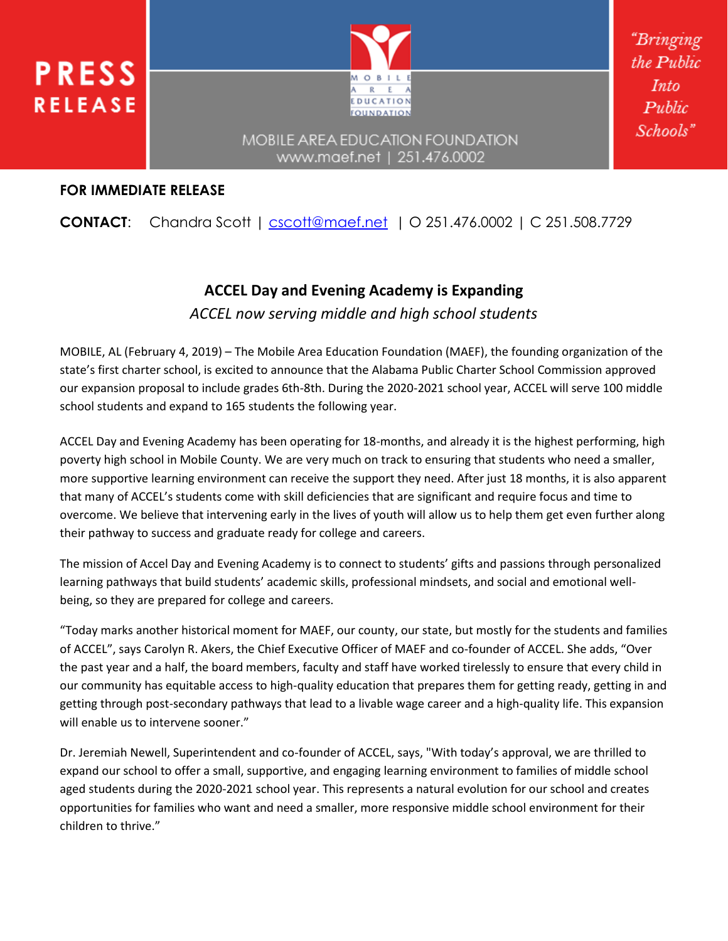



"Brıngıng the Public *Into*  $Public$ Schools"

### MOBILE AREA EDUCATION FOUNDATION www.maef.net | 251.476.0002

### **FOR IMMEDIATE RELEASE**

## **CONTACT:** Chandra Scott | [cscott@maef.net](mailto:cscott@maef.net) | O 251.476.0002 | C 251.508.7729

# **ACCEL Day and Evening Academy is Expanding** *ACCEL now serving middle and high school students*

MOBILE, AL (February 4, 2019) – The Mobile Area Education Foundation (MAEF), the founding organization of the state's first charter school, is excited to announce that the Alabama Public Charter School Commission approved our expansion proposal to include grades 6th-8th. During the 2020-2021 school year, ACCEL will serve 100 middle school students and expand to 165 students the following year.

ACCEL Day and Evening Academy has been operating for 18-months, and already it is the highest performing, high poverty high school in Mobile County. We are very much on track to ensuring that students who need a smaller, more supportive learning environment can receive the support they need. After just 18 months, it is also apparent that many of ACCEL's students come with skill deficiencies that are significant and require focus and time to overcome. We believe that intervening early in the lives of youth will allow us to help them get even further along their pathway to success and graduate ready for college and careers.

The mission of Accel Day and Evening Academy is to connect to students' gifts and passions through personalized learning pathways that build students' academic skills, professional mindsets, and social and emotional wellbeing, so they are prepared for college and careers.

"Today marks another historical moment for MAEF, our county, our state, but mostly for the students and families of ACCEL", says Carolyn R. Akers, the Chief Executive Officer of MAEF and co-founder of ACCEL. She adds, "Over the past year and a half, the board members, faculty and staff have worked tirelessly to ensure that every child in our community has equitable access to high-quality education that prepares them for getting ready, getting in and getting through post-secondary pathways that lead to a livable wage career and a high-quality life. This expansion will enable us to intervene sooner."

Dr. Jeremiah Newell, Superintendent and co-founder of ACCEL, says, "With today's approval, we are thrilled to expand our school to offer a small, supportive, and engaging learning environment to families of middle school aged students during the 2020-2021 school year. This represents a natural evolution for our school and creates opportunities for families who want and need a smaller, more responsive middle school environment for their children to thrive."